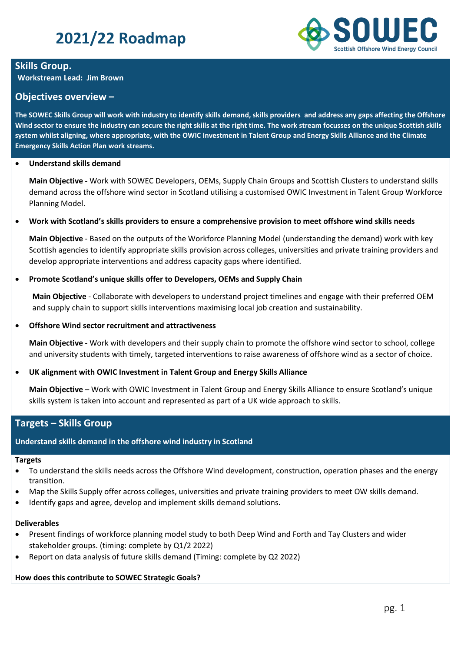# **2021/22 Roadmap**



# **Skills Group.**

**Workstream Lead: Jim Brown**

# **Objectives overview –**

**The SOWEC Skills Group will work with industry to identify skills demand, skills providers and address any gaps affecting the Offshore Wind sector to ensure the industry can secure the right skills at the right time. The work stream focusses on the unique Scottish skills system whilst aligning, where appropriate, with the OWIC Investment in Talent Group and Energy Skills Alliance and the Climate Emergency Skills Action Plan work streams.**

### • **Understand skills demand**

**Main Objective -** Work with SOWEC Developers, OEMs, Supply Chain Groups and Scottish Clusters to understand skills demand across the offshore wind sector in Scotland utilising a customised OWIC Investment in Talent Group Workforce Planning Model.

## • **Work with Scotland's skills providers to ensure a comprehensive provision to meet offshore wind skills needs**

**Main Objective** - Based on the outputs of the Workforce Planning Model (understanding the demand) work with key Scottish agencies to identify appropriate skills provision across colleges, universities and private training providers and develop appropriate interventions and address capacity gaps where identified.

## • **Promote Scotland's unique skills offer to Developers, OEMs and Supply Chain**

**Main Objective** - Collaborate with developers to understand project timelines and engage with their preferred OEM and supply chain to support skills interventions maximising local job creation and sustainability.

### • **Offshore Wind sector recruitment and attractiveness**

**Main Objective -** Work with developers and their supply chain to promote the offshore wind sector to school, college and university students with timely, targeted interventions to raise awareness of offshore wind as a sector of choice.

## • **UK alignment with OWIC Investment in Talent Group and Energy Skills Alliance**

**Main Objective** – Work with OWIC Investment in Talent Group and Energy Skills Alliance to ensure Scotland's unique skills system is taken into account and represented as part of a UK wide approach to skills.

# **Targets – Skills Group**

## **Understand skills demand in the offshore wind industry in Scotland**

#### **Targets**

- To understand the skills needs across the Offshore Wind development, construction, operation phases and the energy transition.
- Map the Skills Supply offer across colleges, universities and private training providers to meet OW skills demand.
- Identify gaps and agree, develop and implement skills demand solutions.

#### **Deliverables**

- Present findings of workforce planning model study to both Deep Wind and Forth and Tay Clusters and wider stakeholder groups. (timing: complete by Q1/2 2022)
- Report on data analysis of future skills demand (Timing: complete by Q2 2022)

## **How does this contribute to SOWEC Strategic Goals?**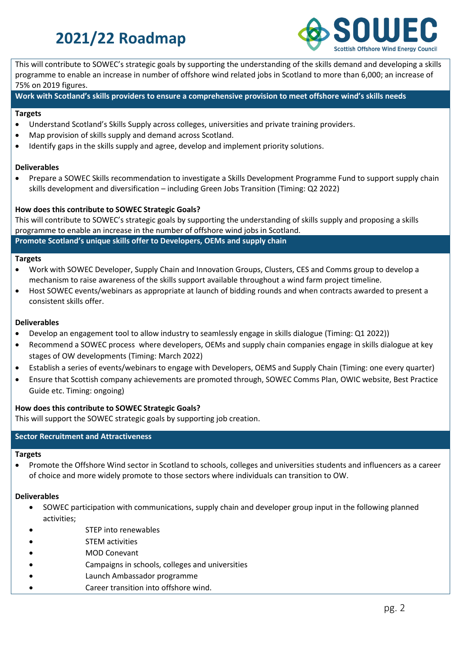# **2021/22 Roadmap**



This will contribute to SOWEC's strategic goals by supporting the understanding of the skills demand and developing a skills programme to enable an increase in number of offshore wind related jobs in Scotland to more than 6,000; an increase of 75% on 2019 figures.

**Work with Scotland's skills providers to ensure a comprehensive provision to meet offshore wind's skills needs** 

#### **Targets**

- Understand Scotland's Skills Supply across colleges, universities and private training providers.
- Map provision of skills supply and demand across Scotland.
- Identify gaps in the skills supply and agree, develop and implement priority solutions.

#### **Deliverables**

• Prepare a SOWEC Skills recommendation to investigate a Skills Development Programme Fund to support supply chain skills development and diversification – including Green Jobs Transition (Timing: Q2 2022)

#### **How does this contribute to SOWEC Strategic Goals?**

This will contribute to SOWEC's strategic goals by supporting the understanding of skills supply and proposing a skills programme to enable an increase in the number of offshore wind jobs in Scotland.

**Promote Scotland's unique skills offer to Developers, OEMs and supply chain**

#### **Targets**

- Work with SOWEC Developer, Supply Chain and Innovation Groups, Clusters, CES and Comms group to develop a mechanism to raise awareness of the skills support available throughout a wind farm project timeline.
- Host SOWEC events/webinars as appropriate at launch of bidding rounds and when contracts awarded to present a consistent skills offer.

## **Deliverables**

- Develop an engagement tool to allow industry to seamlessly engage in skills dialogue (Timing: Q1 2022))
- Recommend a SOWEC process where developers, OEMs and supply chain companies engage in skills dialogue at key stages of OW developments (Timing: March 2022)
- Establish a series of events/webinars to engage with Developers, OEMS and Supply Chain (Timing: one every quarter)
- Ensure that Scottish company achievements are promoted through, SOWEC Comms Plan, OWIC website, Best Practice Guide etc. Timing: ongoing)

#### **How does this contribute to SOWEC Strategic Goals?**

This will support the SOWEC strategic goals by supporting job creation.

## **Sector Recruitment and Attractiveness**

#### **Targets**

• Promote the Offshore Wind sector in Scotland to schools, colleges and universities students and influencers as a career of choice and more widely promote to those sectors where individuals can transition to OW.

#### **Deliverables**

- SOWEC participation with communications, supply chain and developer group input in the following planned activities;
- STEP into renewables
- **STEM activities**
- **MOD Conevant**
- Campaigns in schools, colleges and universities
- Launch Ambassador programme
- Career transition into offshore wind.